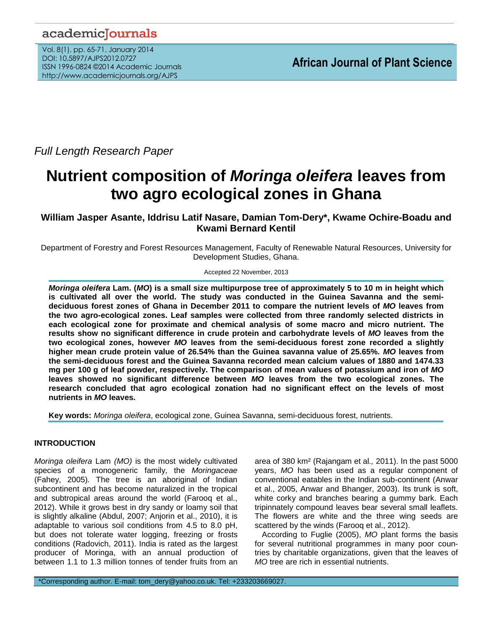# academicJournals

Vol. 8(1), pp. 65-71, January 2014 DOI: 10.5897/AJPS2012.0727 ISSN 1996-0824 ©2014 Academic Journals http://www.academicjournals.org/AJPS

*Full Length Research Paper*

# **Nutrient composition of** *Moringa oleifera* **leaves from two agro ecological zones in Ghana**

# **William Jasper Asante, Iddrisu Latif Nasare, Damian Tom-Dery\*, Kwame Ochire-Boadu and Kwami Bernard Kentil**

Department of Forestry and Forest Resources Management, Faculty of Renewable Natural Resources, University for Development Studies, Ghana.

Accepted 22 November, 2013

*Moringa oleifera* **Lam. (***MO***) is a small size multipurpose tree of approximately 5 to 10 m in height which is cultivated all over the world. The study was conducted in the Guinea Savanna and the semideciduous forest zones of Ghana in December 2011 to compare the nutrient levels of** *MO* **leaves from the two agro-ecological zones. Leaf samples were collected from three randomly selected districts in each ecological zone for proximate and chemical analysis of some macro and micro nutrient. The results show no significant difference in crude protein and carbohydrate levels of** *MO* **leaves from the two ecological zones, however** *MO* **leaves from the semi-deciduous forest zone recorded a slightly higher mean crude protein value of 26.54% than the Guinea savanna value of 25.65%.** *MO* **leaves from the semi-deciduous forest and the Guinea Savanna recorded mean calcium values of 1880 and 1474.33 mg per 100 g of leaf powder, respectively. The comparison of mean values of potassium and iron of** *MO* **leaves showed no significant difference between** *MO* **leaves from the two ecological zones. The research concluded that agro ecological zonation had no significant effect on the levels of most nutrients in** *MO* **leaves.** 

**Key words:** *Moringa oleifera*, ecological zone, Guinea Savanna, semi-deciduous forest, nutrients.

# **INTRODUCTION**

*Moringa oleifera* Lam *(MO)* is the most widely cultivated species of a monogeneric family, the *Moringaceae* (Fahey, 2005)*.* The tree is an aboriginal of Indian subcontinent and has become naturalized in the tropical and subtropical areas around the world (Farooq et al., 2012). While it grows best in dry sandy or loamy soil that is slightly alkaline (Abdul, 2007; Anjorin et al., 2010), it is adaptable to various soil conditions from 4.5 to 8.0 pH, but does not tolerate water logging, freezing or frosts conditions (Radovich, 2011). India is rated as the largest producer of Moringa, with an annual production of between 1.1 to 1.3 million tonnes of tender fruits from an

area of 380 km² (Rajangam et al*.,* 2011). In the past 5000 years, *MO* has been used as a regular component of conventional eatables in the Indian sub-continent (Anwar et al., 2005, Anwar and Bhanger, 2003). Its trunk is soft, white corky and branches bearing a gummy bark. Each tripinnately compound leaves bear several small leaflets. The flowers are white and the three wing seeds are scattered by the winds (Farooq et al., 2012).

According to Fuglie (2005), *MO* plant forms the basis for several nutritional programmes in many poor countries by charitable organizations, given that the leaves of *MO* tree are rich in essential nutrients.

\*Corresponding author. E-mail: tom\_dery@yahoo.co.uk. Tel: +233203669027.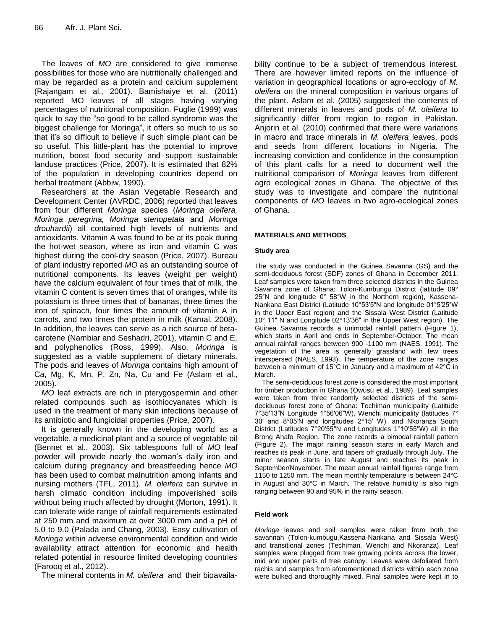The leaves of *MO* are considered to give immense possibilities for those who are nutritionally challenged and may be regarded as a protein and calcium supplement (Rajangam et al., 2001). Bamishaiye et al. (2011) reported MO leaves of all stages having varying percentages of nutritional composition. Fuglie (1999) was quick to say the "so good to be called syndrome was the biggest challenge for Moringa", it offers so much to us so that it's so difficult to believe if such simple plant can be so useful. This little-plant has the potential to improve nutrition, boost food security and support sustainable landuse practices (Price, 2007). It is estimated that 82% of the population in developing countries depend on herbal treatment (Abbiw, 1990).

Researchers at the Asian Vegetable Research and Development Center (AVRDC, 2006) reported that leaves from four different *Moringa* species (*Moringa oleifera, Moringa peregrina, Moringa stenopetala* and *Moringa drouhardii*) all contained high levels of nutrients and antioxidants. Vitamin A was found to be at its peak during the hot-wet season, where as iron and vitamin C was highest during the cool-dry season (Price, 2007). Bureau of plant industry reported *MO* as an outstanding source of nutritional components. Its leaves (weight per weight) have the calcium equivalent of four times that of milk, the vitamin C content is seven times that of oranges, while its potassium is three times that of bananas, three times the iron of spinach, four times the amount of vitamin A in carrots, and two times the protein in milk (Kamal, 2008). In addition, the leaves can serve as a rich source of betacarotene (Nambiar and Seshadri, 2001), vitamin C and E, and polyphenolics (Ross, 1999). Also, *Moringa* is suggested as a viable supplement of dietary minerals. The pods and leaves of *Moringa* contains high amount of Ca, Mg, K, Mn, P, Zn, Na, Cu and Fe (Aslam et al., 2005).

*MO* leaf extracts are rich in pterygospermin and other related compounds such as isothiocyanates which is used in the treatment of many skin infections because of its antibiotic and fungicidal properties (Price, 2007).

It is generally known in the developing world as a vegetable, a medicinal plant and a source of vegetable oil (Bennet et al., 2003). Six tablespoons full of *MO* leaf powder will provide nearly the woman's daily iron and calcium during pregnancy and breastfeeding hence *MO* has been used to combat malnutrition among infants and nursing mothers (TFL, 2011). *M. oleifera* can survive in harsh climatic condition including impoverished soils without being much affected by drought (Morton, 1991). It can tolerate wide range of rainfall requirements estimated at 250 mm and maximum at over 3000 mm and a pH of 5.0 to 9.0 (Palada and Chang, 2003). Easy cultivation of *Moringa* within adverse environmental condition and wide availability attract attention for economic and health related potential in resource limited developing countries (Farooq et al., 2012).

The mineral contents in *M. oleifera* and their bioavaila-

bility continue to be a subject of tremendous interest. There are however limited reports on the influence of variation in geographical locations or agro-ecology of *M. oleifera* on the mineral composition in various organs of the plant. Aslam et al. (2005) suggested the contents of different minerals in leaves and pods of *M. oleifera* to significantly differ from region to region in Pakistan. Anjorin et al. (2010) confirmed that there were variations in macro and trace minerals in *M. oleifera* leaves, pods and seeds from different locations in Nigeria. The increasing conviction and confidence in the consumption of this plant calls for a need to document well the nutritional comparison of *Moringa* leaves from different agro ecological zones in Ghana. The objective of this study was to investigate and compare the nutritional components of *MO* leaves in two agro-ecological zones of Ghana.

#### **MATERIALS AND METHODS**

#### **Study area**

The study was conducted in the Guinea Savanna (GS) and the semi-deciduous forest (SDF) zones of Ghana in December 2011. Leaf samples were taken from three selected districts in the Guinea Savanna zone of Ghana: Tolon-Kumbungu District (latitude 09° 25″N and longitude 0° 58″W in the Northern region), Kassena-Nankana East District (Latitude 10°53′5″N [and longitude 01°5′25″W](http://toolserver.org/~geohack/geohack.php?pagename=Kassena-Nankana_District¶ms=10_53_5_N_1_5_25_W_type:city_region:GH) in the Upper East region) and the Sissala West District (Latitude 10° 11″ N and Longitude 02°13′36″ in the Upper West region). The Guinea Savanna records a unimodal rainfall pattern (Figure 1), which starts in April and ends in September-October. The mean annual rainfall ranges between 900 -1100 mm (NAES, 1991). The vegetation of the area is generally grassland with few trees interspersed (NAES, 1993). The temperature of the zone ranges between a minimum of 15°C in January and a maximum of 42°C in March.

The semi-deciduous forest zone is considered the most important for timber production in Ghana (Owusu et al., 1989). Leaf samples were taken from three randomly selected districts of the semideciduous forest zone of Ghana: Techiman municipality (Latitude 7°35′13″N [Longitude 1°56′06″W\)](http://toolserver.org/~geohack/geohack.php?pagename=Techiman_Municipal_District¶ms=7_35_13_N_1_56_06_W_type:city_region:GH), Wenchi municipality (latitudes 7° 30′ and 8°05′N and longitudes 2°15′ W), and Nkoranza South District (Latitudes 7°20′55′′N and Longitudes 1°10′55′′W) all in the Brong Ahafo Region. The zone records a bimodal rainfall pattern (Figure 2). The major raining season starts in early March and reaches its peak in June, and tapers off gradually through July. The minor season starts in late August and reaches its peak in September/November. The mean annual rainfall figures range from 1150 to 1250 mm. The mean monthly temperature is between 24°C in August and 30°C in March. The relative humidity is also high ranging between 90 and 95% in the rainy season.

#### **Field work**

*Moringa* leaves and soil samples were taken from both the savannah (Tolon-kumbugu,Kassena-Nankana and Sissala West) and transitional zones (Techiman, Wenchi and Nkoranza). Leaf samples were plugged from tree growing points across the lower, mid and upper parts of tree canopy. Leaves were defoliated from rachis and samples from aforementioned districts within each zone were bulked and thoroughly mixed. Final samples were kept in to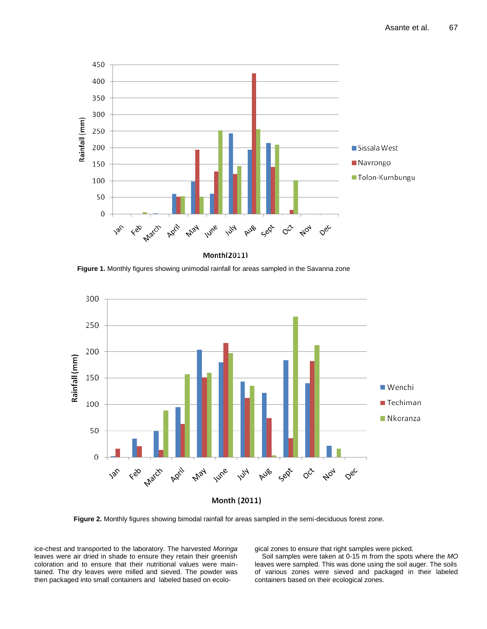

Month(2011)

**Figure 1.** Monthly figures showing unimodal rainfall for areas sampled in the Savanna zone



Month (2011)

**Figure 2.** Monthly figures showing bimodal rainfall for areas sampled in the semi-deciduous forest zone.

ice-chest and transported to the laboratory. The harvested *Moringa* leaves were air dried in shade to ensure they retain their greenish coloration and to ensure that their nutritional values were maintained. The dry leaves were milled and sieved. The powder was then packaged into small containers and labeled based on ecological zones to ensure that right samples were picked.

Soil samples were taken at 0-15 m from the spots where the *MO* leaves were sampled. This was done using the soil auger. The soils of various zones were sieved and packaged in their labeled containers based on their ecological zones.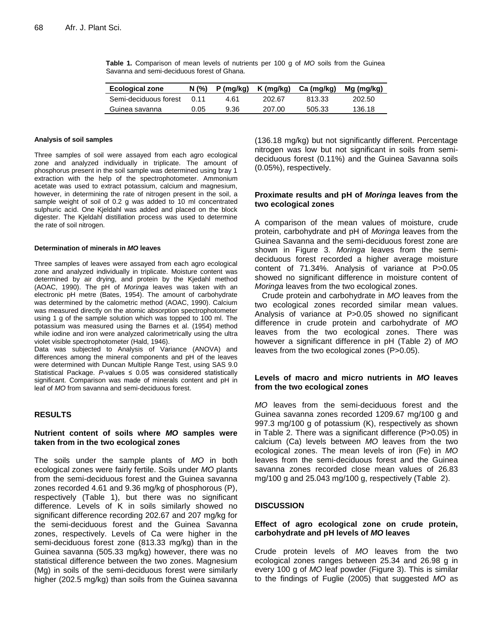| <b>Ecological zone</b> | N(%         |      | $P(mg/kg)$ K (mg/kg) | Ca (mg/kg) | Mg (mg/kg) |
|------------------------|-------------|------|----------------------|------------|------------|
| Semi-deciduous forest  | <u>በ 11</u> | 4.61 | 202.67               | 813.33     | 202.50     |
| Guinea savanna         | 0.05        | 9.36 | 207.00               | 505.33     | 136.18     |

**Table 1.** Comparison of mean levels of nutrients per 100 g of *MO* soils from the Guinea Savanna and semi-deciduous forest of Ghana.

#### **Analysis of soil samples**

Three samples of soil were assayed from each agro ecological zone and analyzed individually in triplicate. The amount of phosphorus present in the soil sample was determined using bray 1 extraction with the help of the spectrophotometer. Ammonium acetate was used to extract potassium, calcium and magnesium, however, in determining the rate of nitrogen present in the soil, a sample weight of soil of 0.2 g was added to 10 ml concentrated sulphuric acid. One Kjeldahl was added and placed on the block digester. The Kjeldahl distillation process was used to determine the rate of soil nitrogen.

#### **Determination of minerals in** *MO* **leaves**

Three samples of leaves were assayed from each agro ecological zone and analyzed individually in triplicate. Moisture content was determined by air drying, and protein by the Kjedahl method (AOAC, 1990). The pH of *Moringa* leaves was taken with an electronic pH metre (Bates, 1954). The amount of carbohydrate was determined by the calometric method (AOAC, 1990). Calcium was measured directly on the atomic absorption spectrophotometer using 1 g of the sample solution which was topped to 100 ml. The potassium was measured using the Barnes et al. (1954) method while iodine and iron were analyzed calorimetrically using the ultra violet visible spectrophotometer (Hald, 1946).

Data was subjected to Analysis of Variance (ANOVA) and differences among the mineral components and pH of the leaves were determined with Duncan Multiple Range Test, using SAS 9.0 Statistical Package.  $P$ -values  $\leq$  0.05 was considered statistically significant. Comparison was made of minerals content and pH in leaf of *MO* from savanna and semi-deciduous forest.

#### **RESULTS**

#### **Nutrient content of soils where** *MO* **samples were taken from in the two ecological zones**

The soils under the sample plants of *MO* in both ecological zones were fairly fertile. Soils under *MO* plants from the semi-deciduous forest and the Guinea savanna zones recorded 4.61 and 9.36 mg/kg of phosphorous (P), respectively (Table 1), but there was no significant difference. Levels of K in soils similarly showed no significant difference recording 202.67 and 207 mg/kg for the semi-deciduous forest and the Guinea Savanna zones, respectively. Levels of Ca were higher in the semi-deciduous forest zone (813.33 mg/kg) than in the Guinea savanna (505.33 mg/kg) however, there was no statistical difference between the two zones. Magnesium (Mg) in soils of the semi-deciduous forest were similarly higher (202.5 mg/kg) than soils from the Guinea savanna (136.18 mg/kg) but not significantly different. Percentage nitrogen was low but not significant in soils from semideciduous forest (0.11%) and the Guinea Savanna soils (0.05%), respectively.

#### **Proximate results and pH of** *Moringa* **leaves from the two ecological zones**

A comparison of the mean values of moisture, crude protein, carbohydrate and pH of *Moringa* leaves from the Guinea Savanna and the semi-deciduous forest zone are shown in Figure 3. *Moringa* leaves from the semideciduous forest recorded a higher average moisture content of 71.34%. Analysis of variance at P>0.05 showed no significant difference in moisture content of *Moringa* leaves from the two ecological zones.

Crude protein and carbohydrate in *MO* leaves from the two ecological zones recorded similar mean values. Analysis of variance at P>0.05 showed no significant difference in crude protein and carbohydrate of *MO* leaves from the two ecological zones. There was however a significant difference in pH (Table 2) of *MO* leaves from the two ecological zones (P>0.05).

#### **Levels of macro and micro nutrients in** *MO* **leaves from the two ecological zones**

*MO* leaves from the semi-deciduous forest and the Guinea savanna zones recorded 1209.67 mg/100 g and 997.3 mg/100 g of potassium (K), respectively as shown in Table 2. There was a significant difference (P>0.05) in calcium (Ca) levels between *MO* leaves from the two ecological zones. The mean levels of iron (Fe) in *MO* leaves from the semi-deciduous forest and the Guinea savanna zones recorded close mean values of 26.83 mg/100 g and 25.043 mg/100 g, respectively (Table 2).

#### **DISCUSSION**

#### **Effect of agro ecological zone on crude protein, carbohydrate and pH levels of** *MO* **leaves**

Crude protein levels of *MO* leaves from the two ecological zones ranges between 25.34 and 26.98 g in every 100 g of *MO* leaf powder (Figure 3). This is similar to the findings of Fuglie (2005) that suggested *MO* as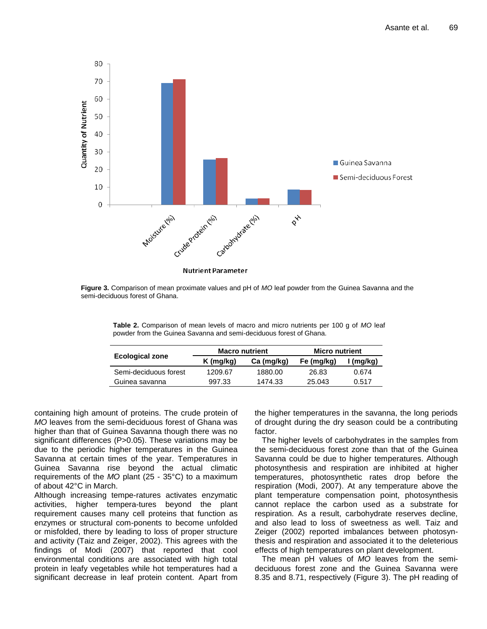

**Figure 3.** Comparison of mean proximate values and pH of *MO* leaf powder from the Guinea Savanna and the semi-deciduous forest of Ghana.

**Table 2.** Comparison of mean levels of macro and micro nutrients per 100 g of *MO* leaf powder from the Guinea Savanna and semi-deciduous forest of Ghana.

| <b>Macro nutrient</b><br><b>Micro nutrient</b> |            |            |           |
|------------------------------------------------|------------|------------|-----------|
| $K$ (mg/kg)                                    | Ca (mg/kg) | Fe (mg/kg) | I (mg/kg) |
| 1209.67                                        | 1880.00    | 26.83      | 0.674     |
| 997.33                                         | 1474.33    | 25.043     | 0.517     |
|                                                |            |            |           |

containing high amount of proteins. The crude protein of *MO* leaves from the semi-deciduous forest of Ghana was higher than that of Guinea Savanna though there was no significant differences (P>0.05). These variations may be due to the periodic higher temperatures in the Guinea Savanna at certain times of the year. Temperatures in Guinea Savanna rise beyond the actual climatic requirements of the *MO* plant (25 - 35°C) to a maximum of about 42°C in March.

Although increasing tempe-ratures activates enzymatic activities, higher tempera-tures beyond the plant requirement causes many cell proteins that function as enzymes or structural com-ponents to become unfolded or misfolded, there by leading to loss of proper structure and activity (Taiz and Zeiger, 2002). This agrees with the findings of Modi (2007) that reported that cool environmental conditions are associated with high total protein in leafy vegetables while hot temperatures had a significant decrease in leaf protein content. Apart from the higher temperatures in the savanna, the long periods of drought during the dry season could be a contributing factor.

The higher levels of carbohydrates in the samples from the semi-deciduous forest zone than that of the Guinea Savanna could be due to higher temperatures. Although photosynthesis and respiration are inhibited at higher temperatures, photosynthetic rates drop before the respiration (Modi, 2007). At any temperature above the plant temperature compensation point, photosynthesis cannot replace the carbon used as a substrate for respiration. As a result, carbohydrate reserves decline, and also lead to loss of sweetness as well. Taiz and Zeiger (2002) reported imbalances between photosynthesis and respiration and associated it to the deleterious effects of high temperatures on plant development.

The mean pH values of *MO* leaves from the semideciduous forest zone and the Guinea Savanna were 8.35 and 8.71, respectively (Figure 3). The pH reading of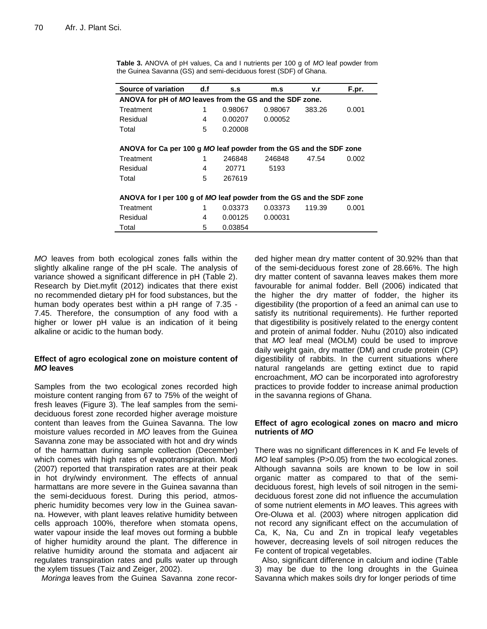| Source of variation                                                  | d.f | S.S     | m.s     | v.r    | F.pr. |
|----------------------------------------------------------------------|-----|---------|---------|--------|-------|
| ANOVA for pH of MO leaves from the GS and the SDF zone.              |     |         |         |        |       |
| Treatment                                                            | 1   | 0.98067 | 0.98067 | 383.26 | 0.001 |
| Residual                                                             | 4   | 0.00207 | 0.00052 |        |       |
| Total                                                                | 5   | 0.20008 |         |        |       |
| ANOVA for Ca per 100 g MO leaf powder from the GS and the SDF zone   |     |         |         |        |       |
| Treatment                                                            | 1   | 246848  | 246848  | 47.54  | 0.002 |
| Residual                                                             | 4   | 20771   | 5193    |        |       |
| Total                                                                | 5   | 267619  |         |        |       |
| ANOVA for I per 100 g of MO leaf powder from the GS and the SDF zone |     |         |         |        |       |
| Treatment                                                            | 1   | 0.03373 | 0.03373 | 119.39 | 0.001 |
| Residual                                                             | 4   | 0.00125 | 0.00031 |        |       |
| Total                                                                | 5   | 0.03854 |         |        |       |

**Table 3.** ANOVA of pH values, Ca and I nutrients per 100 g of *MO* leaf powder from the Guinea Savanna (GS) and semi-deciduous forest (SDF) of Ghana.

*MO* leaves from both ecological zones falls within the slightly alkaline range of the pH scale. The analysis of variance showed a significant difference in pH (Table 2). Research by Diet.myfit (2012) indicates that there exist no recommended dietary pH for food substances, but the human body operates best within a pH range of 7.35 - 7.45. Therefore, the consumption of any food with a higher or lower pH value is an indication of it being alkaline or acidic to the human body.

## **Effect of agro ecological zone on moisture content of**  *MO* **leaves**

Samples from the two ecological zones recorded high moisture content ranging from 67 to 75% of the weight of fresh leaves (Figure 3). The leaf samples from the semideciduous forest zone recorded higher average moisture content than leaves from the Guinea Savanna. The low moisture values recorded in *MO* leaves from the Guinea Savanna zone may be associated with hot and dry winds of the harmattan during sample collection (December) which comes with high rates of evapotranspiration. Modi (2007) reported that transpiration rates are at their peak in hot dry/windy environment. The effects of annual harmattans are more severe in the Guinea savanna than the semi-deciduous forest. During this period, atmospheric humidity becomes very low in the Guinea savanna. However, with plant leaves relative humidity between cells approach 100%, therefore when stomata opens, water vapour inside the leaf moves out forming a bubble of higher humidity around the plant. The difference in relative humidity around the stomata and adjacent air regulates transpiration rates and pulls water up through the xylem tissues (Taiz and Zeiger, 2002).

*Moringa* leaves from the Guinea Savanna zone recor-

ded higher mean dry matter content of 30.92% than that of the semi-deciduous forest zone of 28.66%. The high dry matter content of savanna leaves makes them more favourable for animal fodder. Bell (2006) indicated that the higher the dry matter of fodder, the higher its digestibility (the proportion of a feed an animal can use to satisfy its nutritional requirements). He further reported that digestibility is positively related to the energy content and protein of animal fodder. Nuhu (2010) also indicated that *MO* leaf meal (MOLM) could be used to improve daily weight gain, dry matter (DM) and crude protein (CP) digestibility of rabbits. In the current situations where natural rangelands are getting extinct due to rapid encroachment, *MO* can be incorporated into agroforestry practices to provide fodder to increase animal production in the savanna regions of Ghana.

### **Effect of agro ecological zones on macro and micro nutrients of** *MO*

There was no significant differences in K and Fe levels of *MO* leaf samples (P>0.05) from the two ecological zones. Although savanna soils are known to be low in soil organic matter as compared to that of the semideciduous forest, high levels of soil nitrogen in the semideciduous forest zone did not influence the accumulation of some nutrient elements in *MO* leaves. This agrees with Ore-Oluwa et al. (2003) where nitrogen application did not record any significant effect on the accumulation of Ca, K, Na, Cu and Zn in tropical leafy vegetables however, decreasing levels of soil nitrogen reduces the Fe content of tropical vegetables.

Also, significant difference in calcium and iodine (Table 3) may be due to the long droughts in the Guinea Savanna which makes soils dry for longer periods of time